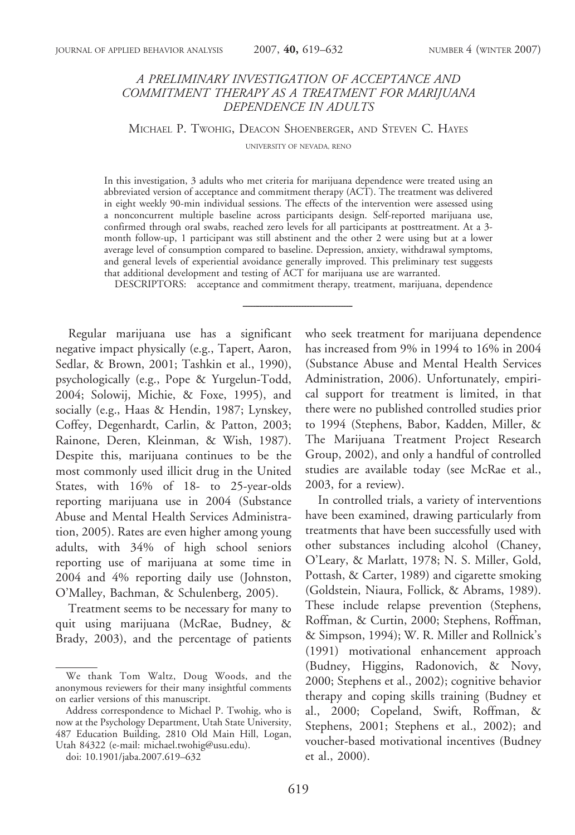# A PRELIMINARY INVESTIGATION OF ACCEPTANCE AND COMMITMENT THERAPY AS A TREATMENT FOR MARIJUANA DEPENDENCE IN ADULTS

MICHAEL P. TWOHIG, DEACON SHOENBERGER, AND STEVEN C. HAYES

UNIVERSITY OF NEVADA, RENO

In this investigation, 3 adults who met criteria for marijuana dependence were treated using an abbreviated version of acceptance and commitment therapy (ACT). The treatment was delivered in eight weekly 90-min individual sessions. The effects of the intervention were assessed using a nonconcurrent multiple baseline across participants design. Self-reported marijuana use, confirmed through oral swabs, reached zero levels for all participants at posttreatment. At a 3 month follow-up, 1 participant was still abstinent and the other 2 were using but at a lower average level of consumption compared to baseline. Depression, anxiety, withdrawal symptoms, and general levels of experiential avoidance generally improved. This preliminary test suggests that additional development and testing of ACT for marijuana use are warranted.

DESCRIPTORS: acceptance and commitment therapy, treatment, marijuana, dependence

Regular marijuana use has a significant negative impact physically (e.g., Tapert, Aaron, Sedlar, & Brown, 2001; Tashkin et al., 1990), psychologically (e.g., Pope & Yurgelun-Todd, 2004; Solowij, Michie, & Foxe, 1995), and socially (e.g., Haas & Hendin, 1987; Lynskey, Coffey, Degenhardt, Carlin, & Patton, 2003; Rainone, Deren, Kleinman, & Wish, 1987). Despite this, marijuana continues to be the most commonly used illicit drug in the United States, with 16% of 18- to 25-year-olds reporting marijuana use in 2004 (Substance Abuse and Mental Health Services Administration, 2005). Rates are even higher among young adults, with 34% of high school seniors reporting use of marijuana at some time in 2004 and 4% reporting daily use (Johnston, O'Malley, Bachman, & Schulenberg, 2005).

Treatment seems to be necessary for many to quit using marijuana (McRae, Budney, & Brady, 2003), and the percentage of patients

doi: 10.1901/jaba.2007.619–632

who seek treatment for marijuana dependence has increased from 9% in 1994 to 16% in 2004 (Substance Abuse and Mental Health Services Administration, 2006). Unfortunately, empirical support for treatment is limited, in that there were no published controlled studies prior to 1994 (Stephens, Babor, Kadden, Miller, & The Marijuana Treatment Project Research Group, 2002), and only a handful of controlled studies are available today (see McRae et al., 2003, for a review).

In controlled trials, a variety of interventions have been examined, drawing particularly from treatments that have been successfully used with other substances including alcohol (Chaney, O'Leary, & Marlatt, 1978; N. S. Miller, Gold, Pottash, & Carter, 1989) and cigarette smoking (Goldstein, Niaura, Follick, & Abrams, 1989). These include relapse prevention (Stephens, Roffman, & Curtin, 2000; Stephens, Roffman, & Simpson, 1994); W. R. Miller and Rollnick's (1991) motivational enhancement approach (Budney, Higgins, Radonovich, & Novy, 2000; Stephens et al., 2002); cognitive behavior therapy and coping skills training (Budney et al., 2000; Copeland, Swift, Roffman, & Stephens, 2001; Stephens et al., 2002); and voucher-based motivational incentives (Budney et al., 2000).

We thank Tom Waltz, Doug Woods, and the anonymous reviewers for their many insightful comments on earlier versions of this manuscript.

Address correspondence to Michael P. Twohig, who is now at the Psychology Department, Utah State University, 487 Education Building, 2810 Old Main Hill, Logan, Utah 84322 (e-mail: michael.twohig@usu.edu).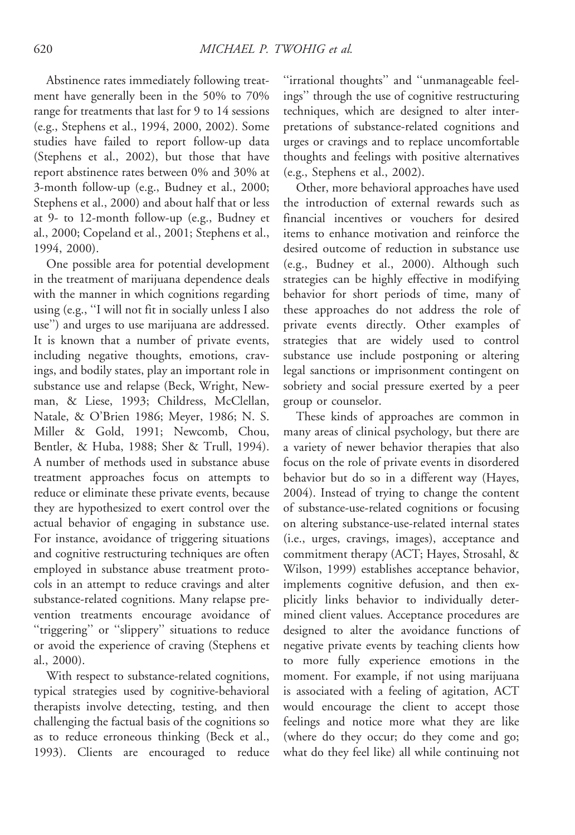Abstinence rates immediately following treatment have generally been in the 50% to 70% range for treatments that last for 9 to 14 sessions (e.g., Stephens et al., 1994, 2000, 2002). Some studies have failed to report follow-up data (Stephens et al., 2002), but those that have report abstinence rates between 0% and 30% at 3-month follow-up (e.g., Budney et al., 2000; Stephens et al., 2000) and about half that or less at 9- to 12-month follow-up (e.g., Budney et al., 2000; Copeland et al., 2001; Stephens et al., 1994, 2000).

One possible area for potential development in the treatment of marijuana dependence deals with the manner in which cognitions regarding using (e.g., ''I will not fit in socially unless I also use'') and urges to use marijuana are addressed. It is known that a number of private events, including negative thoughts, emotions, cravings, and bodily states, play an important role in substance use and relapse (Beck, Wright, Newman, & Liese, 1993; Childress, McClellan, Natale, & O'Brien 1986; Meyer, 1986; N. S. Miller & Gold, 1991; Newcomb, Chou, Bentler, & Huba, 1988; Sher & Trull, 1994). A number of methods used in substance abuse treatment approaches focus on attempts to reduce or eliminate these private events, because they are hypothesized to exert control over the actual behavior of engaging in substance use. For instance, avoidance of triggering situations and cognitive restructuring techniques are often employed in substance abuse treatment protocols in an attempt to reduce cravings and alter substance-related cognitions. Many relapse prevention treatments encourage avoidance of "triggering" or "slippery" situations to reduce or avoid the experience of craving (Stephens et al., 2000).

With respect to substance-related cognitions, typical strategies used by cognitive-behavioral therapists involve detecting, testing, and then challenging the factual basis of the cognitions so as to reduce erroneous thinking (Beck et al., 1993). Clients are encouraged to reduce

''irrational thoughts'' and ''unmanageable feelings'' through the use of cognitive restructuring techniques, which are designed to alter interpretations of substance-related cognitions and urges or cravings and to replace uncomfortable thoughts and feelings with positive alternatives (e.g., Stephens et al., 2002).

Other, more behavioral approaches have used the introduction of external rewards such as financial incentives or vouchers for desired items to enhance motivation and reinforce the desired outcome of reduction in substance use (e.g., Budney et al., 2000). Although such strategies can be highly effective in modifying behavior for short periods of time, many of these approaches do not address the role of private events directly. Other examples of strategies that are widely used to control substance use include postponing or altering legal sanctions or imprisonment contingent on sobriety and social pressure exerted by a peer group or counselor.

These kinds of approaches are common in many areas of clinical psychology, but there are a variety of newer behavior therapies that also focus on the role of private events in disordered behavior but do so in a different way (Hayes, 2004). Instead of trying to change the content of substance-use-related cognitions or focusing on altering substance-use-related internal states (i.e., urges, cravings, images), acceptance and commitment therapy (ACT; Hayes, Strosahl, & Wilson, 1999) establishes acceptance behavior, implements cognitive defusion, and then explicitly links behavior to individually determined client values. Acceptance procedures are designed to alter the avoidance functions of negative private events by teaching clients how to more fully experience emotions in the moment. For example, if not using marijuana is associated with a feeling of agitation, ACT would encourage the client to accept those feelings and notice more what they are like (where do they occur; do they come and go; what do they feel like) all while continuing not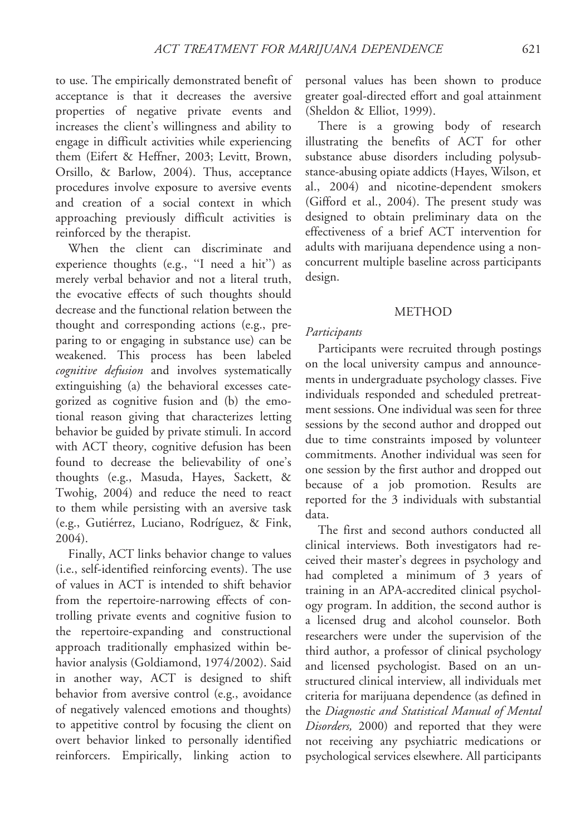to use. The empirically demonstrated benefit of acceptance is that it decreases the aversive properties of negative private events and increases the client's willingness and ability to engage in difficult activities while experiencing them (Eifert & Heffner, 2003; Levitt, Brown, Orsillo, & Barlow, 2004). Thus, acceptance procedures involve exposure to aversive events and creation of a social context in which approaching previously difficult activities is reinforced by the therapist.

When the client can discriminate and experience thoughts (e.g., ''I need a hit'') as merely verbal behavior and not a literal truth, the evocative effects of such thoughts should decrease and the functional relation between the thought and corresponding actions (e.g., preparing to or engaging in substance use) can be weakened. This process has been labeled cognitive defusion and involves systematically extinguishing (a) the behavioral excesses categorized as cognitive fusion and (b) the emotional reason giving that characterizes letting behavior be guided by private stimuli. In accord with ACT theory, cognitive defusion has been found to decrease the believability of one's thoughts (e.g., Masuda, Hayes, Sackett, & Twohig, 2004) and reduce the need to react to them while persisting with an aversive task (e.g., Gutiérrez, Luciano, Rodríguez, & Fink, 2004).

Finally, ACT links behavior change to values (i.e., self-identified reinforcing events). The use of values in ACT is intended to shift behavior from the repertoire-narrowing effects of controlling private events and cognitive fusion to the repertoire-expanding and constructional approach traditionally emphasized within behavior analysis (Goldiamond, 1974/2002). Said in another way, ACT is designed to shift behavior from aversive control (e.g., avoidance of negatively valenced emotions and thoughts) to appetitive control by focusing the client on overt behavior linked to personally identified reinforcers. Empirically, linking action to personal values has been shown to produce greater goal-directed effort and goal attainment (Sheldon & Elliot, 1999).

There is a growing body of research illustrating the benefits of ACT for other substance abuse disorders including polysubstance-abusing opiate addicts (Hayes, Wilson, et al., 2004) and nicotine-dependent smokers (Gifford et al., 2004). The present study was designed to obtain preliminary data on the effectiveness of a brief ACT intervention for adults with marijuana dependence using a nonconcurrent multiple baseline across participants design.

### METHOD

### Participants

Participants were recruited through postings on the local university campus and announcements in undergraduate psychology classes. Five individuals responded and scheduled pretreatment sessions. One individual was seen for three sessions by the second author and dropped out due to time constraints imposed by volunteer commitments. Another individual was seen for one session by the first author and dropped out because of a job promotion. Results are reported for the 3 individuals with substantial data.

The first and second authors conducted all clinical interviews. Both investigators had received their master's degrees in psychology and had completed a minimum of 3 years of training in an APA-accredited clinical psychology program. In addition, the second author is a licensed drug and alcohol counselor. Both researchers were under the supervision of the third author, a professor of clinical psychology and licensed psychologist. Based on an unstructured clinical interview, all individuals met criteria for marijuana dependence (as defined in the Diagnostic and Statistical Manual of Mental Disorders, 2000) and reported that they were not receiving any psychiatric medications or psychological services elsewhere. All participants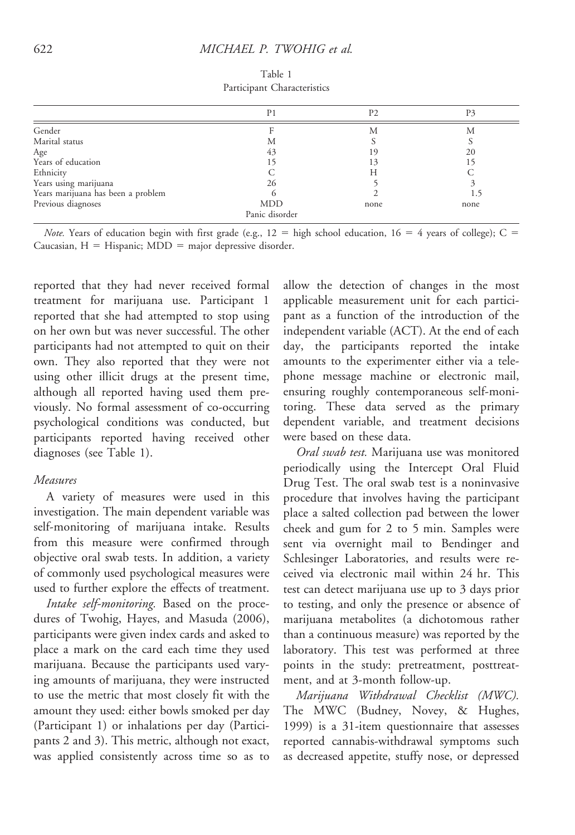| Table 1                     |  |  |  |  |  |  |  |  |  |
|-----------------------------|--|--|--|--|--|--|--|--|--|
| Participant Characteristics |  |  |  |  |  |  |  |  |  |

|                                    | P1                           | P <sub>2</sub> | P3   |
|------------------------------------|------------------------------|----------------|------|
| Gender                             |                              | М              | М    |
| Marital status                     | М                            |                |      |
| Age                                | 43                           | 19             | 20   |
| Years of education                 |                              | 13             |      |
| Ethnicity                          |                              | Н              |      |
| Years using marijuana              | 26                           |                |      |
| Years marijuana has been a problem |                              |                | 1.5  |
| Previous diagnoses                 | <b>MDD</b><br>Panic disorder | none           | none |

*Note.* Years of education begin with first grade (e.g.,  $12 =$  high school education,  $16 = 4$  years of college); C = Caucasian,  $H = H$ ispanic; MDD = major depressive disorder.

reported that they had never received formal treatment for marijuana use. Participant 1 reported that she had attempted to stop using on her own but was never successful. The other participants had not attempted to quit on their own. They also reported that they were not using other illicit drugs at the present time, although all reported having used them previously. No formal assessment of co-occurring psychological conditions was conducted, but participants reported having received other diagnoses (see Table 1).

#### Measures

A variety of measures were used in this investigation. The main dependent variable was self-monitoring of marijuana intake. Results from this measure were confirmed through objective oral swab tests. In addition, a variety of commonly used psychological measures were used to further explore the effects of treatment.

Intake self-monitoring. Based on the procedures of Twohig, Hayes, and Masuda (2006), participants were given index cards and asked to place a mark on the card each time they used marijuana. Because the participants used varying amounts of marijuana, they were instructed to use the metric that most closely fit with the amount they used: either bowls smoked per day (Participant 1) or inhalations per day (Participants 2 and 3). This metric, although not exact, was applied consistently across time so as to

allow the detection of changes in the most applicable measurement unit for each participant as a function of the introduction of the independent variable (ACT). At the end of each day, the participants reported the intake amounts to the experimenter either via a telephone message machine or electronic mail, ensuring roughly contemporaneous self-monitoring. These data served as the primary dependent variable, and treatment decisions were based on these data.

Oral swab test. Marijuana use was monitored periodically using the Intercept Oral Fluid Drug Test. The oral swab test is a noninvasive procedure that involves having the participant place a salted collection pad between the lower cheek and gum for 2 to 5 min. Samples were sent via overnight mail to Bendinger and Schlesinger Laboratories, and results were received via electronic mail within 24 hr. This test can detect marijuana use up to 3 days prior to testing, and only the presence or absence of marijuana metabolites (a dichotomous rather than a continuous measure) was reported by the laboratory. This test was performed at three points in the study: pretreatment, posttreatment, and at 3-month follow-up.

Marijuana Withdrawal Checklist (MWC). The MWC (Budney, Novey, & Hughes, 1999) is a 31-item questionnaire that assesses reported cannabis-withdrawal symptoms such as decreased appetite, stuffy nose, or depressed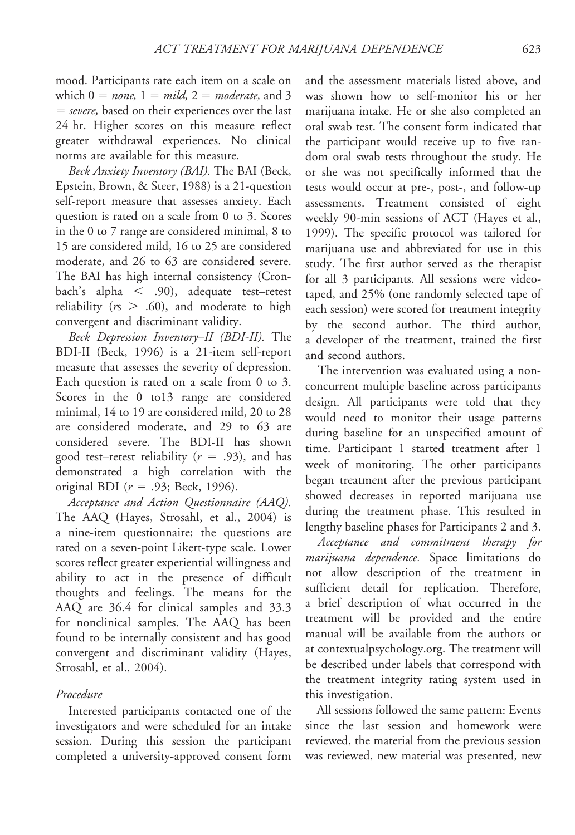mood. Participants rate each item on a scale on which  $0 = none$ ,  $1 = mild$ ,  $2 = moderate$ , and 3  $=$  severe, based on their experiences over the last 24 hr. Higher scores on this measure reflect greater withdrawal experiences. No clinical norms are available for this measure.

Beck Anxiety Inventory (BAI). The BAI (Beck, Epstein, Brown, & Steer, 1988) is a 21-question self-report measure that assesses anxiety. Each question is rated on a scale from 0 to 3. Scores in the 0 to 7 range are considered minimal, 8 to 15 are considered mild, 16 to 25 are considered moderate, and 26 to 63 are considered severe. The BAI has high internal consistency (Cronbach's alpha  $\lt$  .90), adequate test–retest reliability ( $rs$   $>$  .60), and moderate to high convergent and discriminant validity.

Beck Depression Inventory–II (BDI-II). The BDI-II (Beck, 1996) is a 21-item self-report measure that assesses the severity of depression. Each question is rated on a scale from 0 to 3. Scores in the 0 to13 range are considered minimal, 14 to 19 are considered mild, 20 to 28 are considered moderate, and 29 to 63 are considered severe. The BDI-II has shown good test–retest reliability ( $r = .93$ ), and has demonstrated a high correlation with the original BDI ( $r = .93$ ; Beck, 1996).

Acceptance and Action Questionnaire (AAQ). The AAQ (Hayes, Strosahl, et al., 2004) is a nine-item questionnaire; the questions are rated on a seven-point Likert-type scale. Lower scores reflect greater experiential willingness and ability to act in the presence of difficult thoughts and feelings. The means for the AAQ are 36.4 for clinical samples and 33.3 for nonclinical samples. The AAQ has been found to be internally consistent and has good convergent and discriminant validity (Hayes, Strosahl, et al., 2004).

# Procedure

Interested participants contacted one of the investigators and were scheduled for an intake session. During this session the participant completed a university-approved consent form and the assessment materials listed above, and was shown how to self-monitor his or her marijuana intake. He or she also completed an oral swab test. The consent form indicated that the participant would receive up to five random oral swab tests throughout the study. He or she was not specifically informed that the tests would occur at pre-, post-, and follow-up assessments. Treatment consisted of eight weekly 90-min sessions of ACT (Hayes et al., 1999). The specific protocol was tailored for marijuana use and abbreviated for use in this study. The first author served as the therapist for all 3 participants. All sessions were videotaped, and 25% (one randomly selected tape of each session) were scored for treatment integrity by the second author. The third author, a developer of the treatment, trained the first and second authors.

The intervention was evaluated using a nonconcurrent multiple baseline across participants design. All participants were told that they would need to monitor their usage patterns during baseline for an unspecified amount of time. Participant 1 started treatment after 1 week of monitoring. The other participants began treatment after the previous participant showed decreases in reported marijuana use during the treatment phase. This resulted in lengthy baseline phases for Participants 2 and 3.

Acceptance and commitment therapy for marijuana dependence. Space limitations do not allow description of the treatment in sufficient detail for replication. Therefore, a brief description of what occurred in the treatment will be provided and the entire manual will be available from the authors or at contextualpsychology.org. The treatment will be described under labels that correspond with the treatment integrity rating system used in this investigation.

All sessions followed the same pattern: Events since the last session and homework were reviewed, the material from the previous session was reviewed, new material was presented, new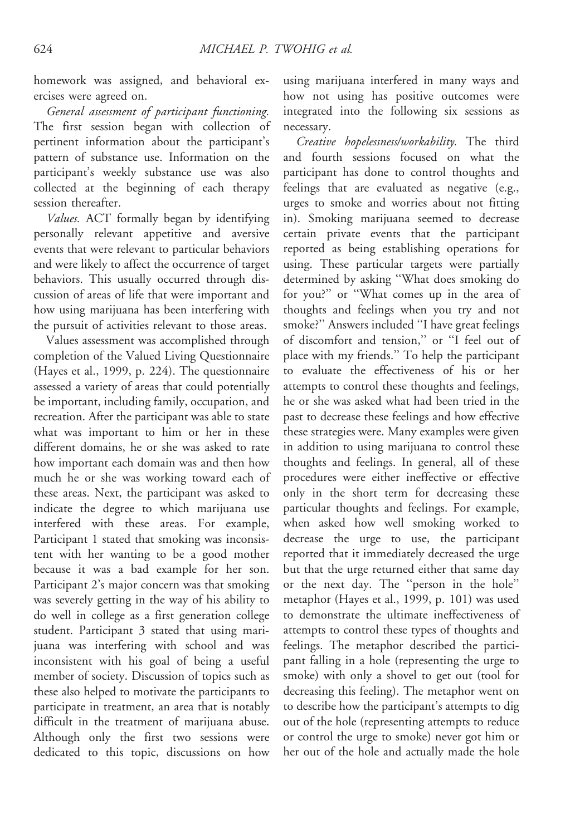homework was assigned, and behavioral exercises were agreed on.

General assessment of participant functioning. The first session began with collection of pertinent information about the participant's pattern of substance use. Information on the participant's weekly substance use was also collected at the beginning of each therapy session thereafter.

Values. ACT formally began by identifying personally relevant appetitive and aversive events that were relevant to particular behaviors and were likely to affect the occurrence of target behaviors. This usually occurred through discussion of areas of life that were important and how using marijuana has been interfering with the pursuit of activities relevant to those areas.

Values assessment was accomplished through completion of the Valued Living Questionnaire (Hayes et al., 1999, p. 224). The questionnaire assessed a variety of areas that could potentially be important, including family, occupation, and recreation. After the participant was able to state what was important to him or her in these different domains, he or she was asked to rate how important each domain was and then how much he or she was working toward each of these areas. Next, the participant was asked to indicate the degree to which marijuana use interfered with these areas. For example, Participant 1 stated that smoking was inconsistent with her wanting to be a good mother because it was a bad example for her son. Participant 2's major concern was that smoking was severely getting in the way of his ability to do well in college as a first generation college student. Participant 3 stated that using marijuana was interfering with school and was inconsistent with his goal of being a useful member of society. Discussion of topics such as these also helped to motivate the participants to participate in treatment, an area that is notably difficult in the treatment of marijuana abuse. Although only the first two sessions were dedicated to this topic, discussions on how

using marijuana interfered in many ways and how not using has positive outcomes were integrated into the following six sessions as necessary.

Creative hopelessness/workability. The third and fourth sessions focused on what the participant has done to control thoughts and feelings that are evaluated as negative (e.g., urges to smoke and worries about not fitting in). Smoking marijuana seemed to decrease certain private events that the participant reported as being establishing operations for using. These particular targets were partially determined by asking ''What does smoking do for you?'' or ''What comes up in the area of thoughts and feelings when you try and not smoke?'' Answers included ''I have great feelings of discomfort and tension,'' or ''I feel out of place with my friends.'' To help the participant to evaluate the effectiveness of his or her attempts to control these thoughts and feelings, he or she was asked what had been tried in the past to decrease these feelings and how effective these strategies were. Many examples were given in addition to using marijuana to control these thoughts and feelings. In general, all of these procedures were either ineffective or effective only in the short term for decreasing these particular thoughts and feelings. For example, when asked how well smoking worked to decrease the urge to use, the participant reported that it immediately decreased the urge but that the urge returned either that same day or the next day. The ''person in the hole'' metaphor (Hayes et al., 1999, p. 101) was used to demonstrate the ultimate ineffectiveness of attempts to control these types of thoughts and feelings. The metaphor described the participant falling in a hole (representing the urge to smoke) with only a shovel to get out (tool for decreasing this feeling). The metaphor went on to describe how the participant's attempts to dig out of the hole (representing attempts to reduce or control the urge to smoke) never got him or her out of the hole and actually made the hole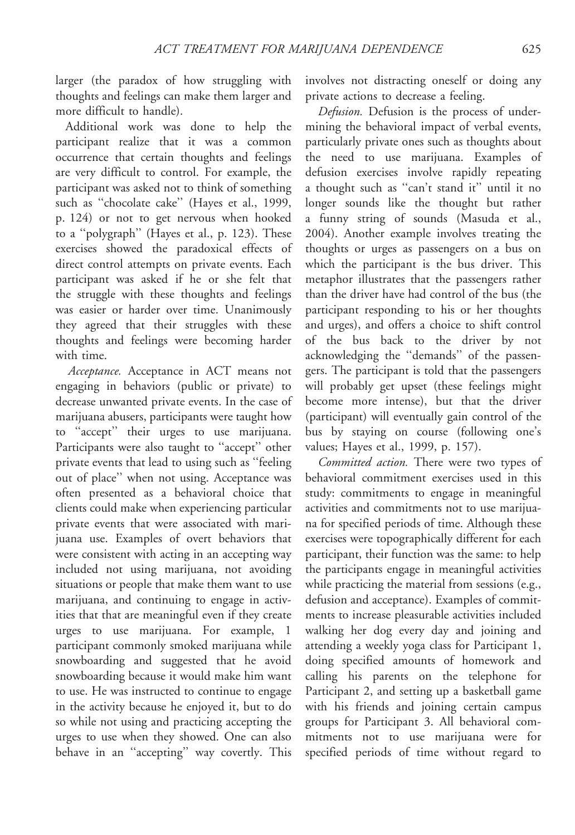larger (the paradox of how struggling with thoughts and feelings can make them larger and more difficult to handle).

Additional work was done to help the participant realize that it was a common occurrence that certain thoughts and feelings are very difficult to control. For example, the participant was asked not to think of something such as ''chocolate cake'' (Hayes et al., 1999, p. 124) or not to get nervous when hooked to a ''polygraph'' (Hayes et al., p. 123). These exercises showed the paradoxical effects of direct control attempts on private events. Each participant was asked if he or she felt that the struggle with these thoughts and feelings was easier or harder over time. Unanimously they agreed that their struggles with these thoughts and feelings were becoming harder with time.

Acceptance. Acceptance in ACT means not engaging in behaviors (public or private) to decrease unwanted private events. In the case of marijuana abusers, participants were taught how to ''accept'' their urges to use marijuana. Participants were also taught to ''accept'' other private events that lead to using such as ''feeling out of place'' when not using. Acceptance was often presented as a behavioral choice that clients could make when experiencing particular private events that were associated with marijuana use. Examples of overt behaviors that were consistent with acting in an accepting way included not using marijuana, not avoiding situations or people that make them want to use marijuana, and continuing to engage in activities that that are meaningful even if they create urges to use marijuana. For example, 1 participant commonly smoked marijuana while snowboarding and suggested that he avoid snowboarding because it would make him want to use. He was instructed to continue to engage in the activity because he enjoyed it, but to do so while not using and practicing accepting the urges to use when they showed. One can also behave in an ''accepting'' way covertly. This involves not distracting oneself or doing any private actions to decrease a feeling.

Defusion. Defusion is the process of undermining the behavioral impact of verbal events, particularly private ones such as thoughts about the need to use marijuana. Examples of defusion exercises involve rapidly repeating a thought such as ''can't stand it'' until it no longer sounds like the thought but rather a funny string of sounds (Masuda et al., 2004). Another example involves treating the thoughts or urges as passengers on a bus on which the participant is the bus driver. This metaphor illustrates that the passengers rather than the driver have had control of the bus (the participant responding to his or her thoughts and urges), and offers a choice to shift control of the bus back to the driver by not acknowledging the ''demands'' of the passengers. The participant is told that the passengers will probably get upset (these feelings might become more intense), but that the driver (participant) will eventually gain control of the bus by staying on course (following one's values; Hayes et al., 1999, p. 157).

Committed action. There were two types of behavioral commitment exercises used in this study: commitments to engage in meaningful activities and commitments not to use marijuana for specified periods of time. Although these exercises were topographically different for each participant, their function was the same: to help the participants engage in meaningful activities while practicing the material from sessions (e.g., defusion and acceptance). Examples of commitments to increase pleasurable activities included walking her dog every day and joining and attending a weekly yoga class for Participant 1, doing specified amounts of homework and calling his parents on the telephone for Participant 2, and setting up a basketball game with his friends and joining certain campus groups for Participant 3. All behavioral commitments not to use marijuana were for specified periods of time without regard to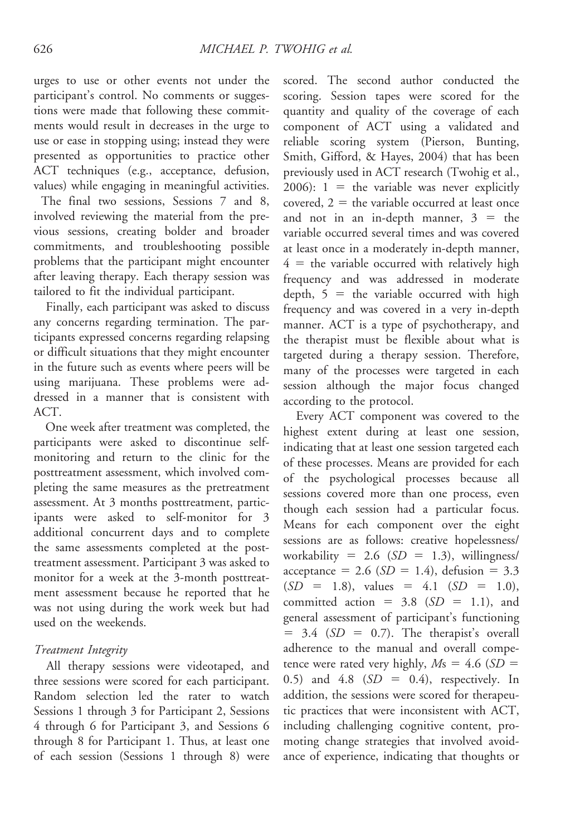urges to use or other events not under the participant's control. No comments or suggestions were made that following these commitments would result in decreases in the urge to use or ease in stopping using; instead they were presented as opportunities to practice other ACT techniques (e.g., acceptance, defusion, values) while engaging in meaningful activities.

The final two sessions, Sessions 7 and 8, involved reviewing the material from the previous sessions, creating bolder and broader commitments, and troubleshooting possible problems that the participant might encounter after leaving therapy. Each therapy session was tailored to fit the individual participant.

Finally, each participant was asked to discuss any concerns regarding termination. The participants expressed concerns regarding relapsing or difficult situations that they might encounter in the future such as events where peers will be using marijuana. These problems were addressed in a manner that is consistent with ACT.

One week after treatment was completed, the participants were asked to discontinue selfmonitoring and return to the clinic for the posttreatment assessment, which involved completing the same measures as the pretreatment assessment. At 3 months posttreatment, participants were asked to self-monitor for 3 additional concurrent days and to complete the same assessments completed at the posttreatment assessment. Participant 3 was asked to monitor for a week at the 3-month posttreatment assessment because he reported that he was not using during the work week but had used on the weekends.

# Treatment Integrity

All therapy sessions were videotaped, and three sessions were scored for each participant. Random selection led the rater to watch Sessions 1 through 3 for Participant 2, Sessions 4 through 6 for Participant 3, and Sessions 6 through 8 for Participant 1. Thus, at least one of each session (Sessions 1 through 8) were

scored. The second author conducted the scoring. Session tapes were scored for the quantity and quality of the coverage of each component of ACT using a validated and reliable scoring system (Pierson, Bunting, Smith, Gifford, & Hayes, 2004) that has been previously used in ACT research (Twohig et al.,  $2006$ :  $1 =$  the variable was never explicitly covered,  $2 =$  the variable occurred at least once and not in an in-depth manner,  $3 =$  the variable occurred several times and was covered at least once in a moderately in-depth manner,  $4 =$  the variable occurred with relatively high frequency and was addressed in moderate depth,  $5 =$  the variable occurred with high frequency and was covered in a very in-depth manner. ACT is a type of psychotherapy, and the therapist must be flexible about what is targeted during a therapy session. Therefore, many of the processes were targeted in each session although the major focus changed according to the protocol.

Every ACT component was covered to the highest extent during at least one session, indicating that at least one session targeted each of these processes. Means are provided for each of the psychological processes because all sessions covered more than one process, even though each session had a particular focus. Means for each component over the eight sessions are as follows: creative hopelessness/ workability = 2.6  $(SD = 1.3)$ , willingness/ acceptance = 2.6 ( $SD = 1.4$ ), defusion = 3.3  $(SD = 1.8)$ , values = 4.1  $(SD = 1.0)$ , committed action =  $3.8$  (SD = 1.1), and general assessment of participant's functioning  $= 3.4$  (SD  $= 0.7$ ). The therapist's overall adherence to the manual and overall competence were rated very highly,  $M_s = 4.6$  (SD = 0.5) and 4.8  $(SD = 0.4)$ , respectively. In addition, the sessions were scored for therapeutic practices that were inconsistent with ACT, including challenging cognitive content, promoting change strategies that involved avoidance of experience, indicating that thoughts or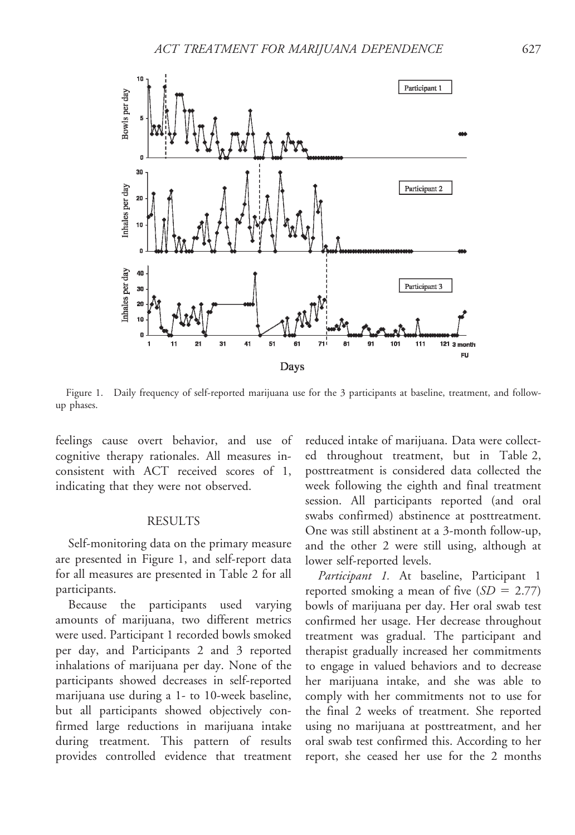

Figure 1. Daily frequency of self-reported marijuana use for the 3 participants at baseline, treatment, and followup phases.

feelings cause overt behavior, and use of cognitive therapy rationales. All measures inconsistent with ACT received scores of 1, indicating that they were not observed.

#### RESULTS

Self-monitoring data on the primary measure are presented in Figure 1, and self-report data for all measures are presented in Table 2 for all participants.

Because the participants used varying amounts of marijuana, two different metrics were used. Participant 1 recorded bowls smoked per day, and Participants 2 and 3 reported inhalations of marijuana per day. None of the participants showed decreases in self-reported marijuana use during a 1- to 10-week baseline, but all participants showed objectively confirmed large reductions in marijuana intake during treatment. This pattern of results provides controlled evidence that treatment

reduced intake of marijuana. Data were collected throughout treatment, but in Table 2, posttreatment is considered data collected the week following the eighth and final treatment session. All participants reported (and oral swabs confirmed) abstinence at posttreatment. One was still abstinent at a 3-month follow-up, and the other 2 were still using, although at lower self-reported levels.

Participant 1. At baseline, Participant 1 reported smoking a mean of five  $(SD = 2.77)$ bowls of marijuana per day. Her oral swab test confirmed her usage. Her decrease throughout treatment was gradual. The participant and therapist gradually increased her commitments to engage in valued behaviors and to decrease her marijuana intake, and she was able to comply with her commitments not to use for the final 2 weeks of treatment. She reported using no marijuana at posttreatment, and her oral swab test confirmed this. According to her report, she ceased her use for the 2 months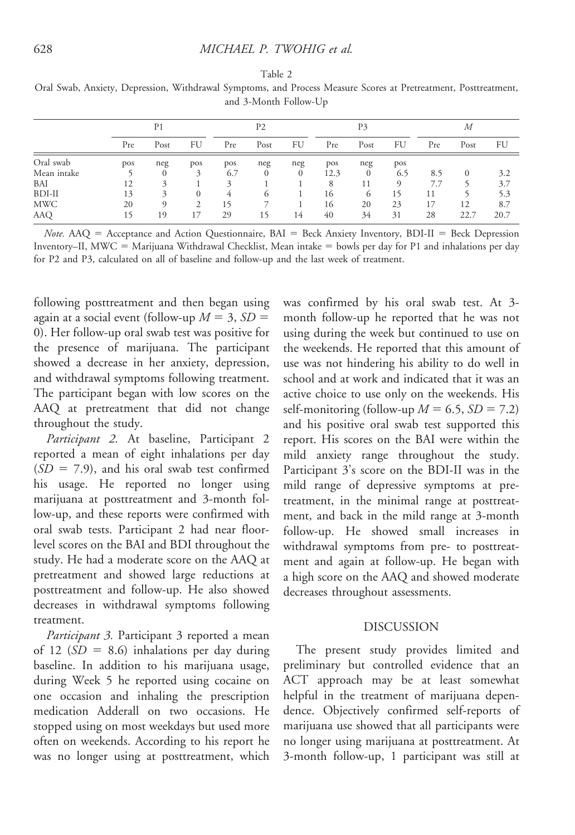| and 3-Month Follow-Up    |     |                     |                     |                |                 |                       |             |                       |            |     |          |     |
|--------------------------|-----|---------------------|---------------------|----------------|-----------------|-----------------------|-------------|-----------------------|------------|-----|----------|-----|
|                          |     | P1                  |                     | P <sub>2</sub> |                 | P3                    |             | М                     |            |     |          |     |
|                          | Pre | Post                | FU                  | Pre            | Post            | FU                    | Pre         | Post                  | FU         | Pre | Post     | FU  |
| Oral swab<br>Mean intake | pos | neg<br>$\mathbf{0}$ | pos<br>$\mathbf{z}$ | pos<br>6.7     | neg<br>$\theta$ | neg<br>$\overline{0}$ | pos<br>12.3 | neg<br>$\overline{0}$ | pos<br>6.5 | 8.5 | $\Omega$ | 3.2 |

BAI 12 3 1 3 1 1 8 11 9 7.7 5 3.7 BDI-II 13 3 0 4 6 1 16 6 15 11 5 5.3 MWC 20 9 2 15 7 1 16 20 23 17 12 8.7 AAQ 15 19 17 29 15 14 40 34 31 28 22.7 20.7

Table 2 Oral Swab, Anxiety, Depression, Withdrawal Symptoms, and Process Measure Scores at Pretreatment, Posttreatment,

*Note.* AAQ = Acceptance and Action Questionnaire,  $BAI = Beck$  Anxiety Inventory, BDI-II = Beck Depression Inventory–II, MWC = Marijuana Withdrawal Checklist, Mean intake = bowls per day for P1 and inhalations per day for P2 and P3, calculated on all of baseline and follow-up and the last week of treatment.

following posttreatment and then began using again at a social event (follow-up  $M = 3$ ,  $SD =$ 0). Her follow-up oral swab test was positive for the presence of marijuana. The participant showed a decrease in her anxiety, depression, and withdrawal symptoms following treatment. The participant began with low scores on the AAQ at pretreatment that did not change throughout the study.

Participant 2. At baseline, Participant 2 reported a mean of eight inhalations per day  $(SD = 7.9)$ , and his oral swab test confirmed his usage. He reported no longer using marijuana at posttreatment and 3-month follow-up, and these reports were confirmed with oral swab tests. Participant 2 had near floorlevel scores on the BAI and BDI throughout the study. He had a moderate score on the AAQ at pretreatment and showed large reductions at posttreatment and follow-up. He also showed decreases in withdrawal symptoms following treatment.

Participant 3. Participant 3 reported a mean of 12 ( $SD = 8.6$ ) inhalations per day during baseline. In addition to his marijuana usage, during Week 5 he reported using cocaine on one occasion and inhaling the prescription medication Adderall on two occasions. He stopped using on most weekdays but used more often on weekends. According to his report he was no longer using at posttreatment, which was confirmed by his oral swab test. At 3 month follow-up he reported that he was not using during the week but continued to use on the weekends. He reported that this amount of use was not hindering his ability to do well in school and at work and indicated that it was an active choice to use only on the weekends. His self-monitoring (follow-up  $M = 6.5$ ,  $SD = 7.2$ ) and his positive oral swab test supported this report. His scores on the BAI were within the mild anxiety range throughout the study. Participant 3's score on the BDI-II was in the mild range of depressive symptoms at pretreatment, in the minimal range at posttreatment, and back in the mild range at 3-month follow-up. He showed small increases in withdrawal symptoms from pre- to posttreatment and again at follow-up. He began with a high score on the AAQ and showed moderate decreases throughout assessments.

#### DISCUSSION

The present study provides limited and preliminary but controlled evidence that an ACT approach may be at least somewhat helpful in the treatment of marijuana dependence. Objectively confirmed self-reports of marijuana use showed that all participants were no longer using marijuana at posttreatment. At 3-month follow-up, 1 participant was still at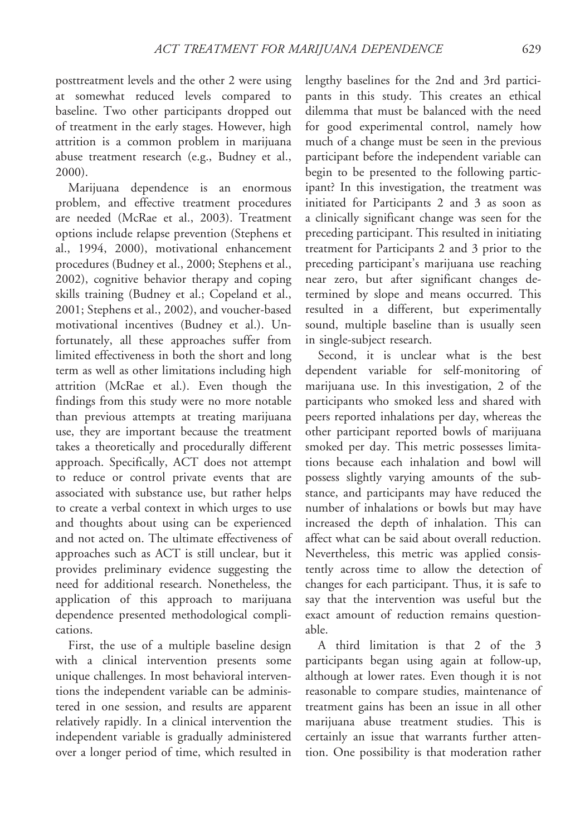posttreatment levels and the other 2 were using at somewhat reduced levels compared to baseline. Two other participants dropped out of treatment in the early stages. However, high attrition is a common problem in marijuana abuse treatment research (e.g., Budney et al., 2000).

Marijuana dependence is an enormous problem, and effective treatment procedures are needed (McRae et al., 2003). Treatment options include relapse prevention (Stephens et al., 1994, 2000), motivational enhancement procedures (Budney et al., 2000; Stephens et al., 2002), cognitive behavior therapy and coping skills training (Budney et al.; Copeland et al., 2001; Stephens et al., 2002), and voucher-based motivational incentives (Budney et al.). Unfortunately, all these approaches suffer from limited effectiveness in both the short and long term as well as other limitations including high attrition (McRae et al.). Even though the findings from this study were no more notable than previous attempts at treating marijuana use, they are important because the treatment takes a theoretically and procedurally different approach. Specifically, ACT does not attempt to reduce or control private events that are associated with substance use, but rather helps to create a verbal context in which urges to use and thoughts about using can be experienced and not acted on. The ultimate effectiveness of approaches such as ACT is still unclear, but it provides preliminary evidence suggesting the need for additional research. Nonetheless, the application of this approach to marijuana dependence presented methodological complications.

First, the use of a multiple baseline design with a clinical intervention presents some unique challenges. In most behavioral interventions the independent variable can be administered in one session, and results are apparent relatively rapidly. In a clinical intervention the independent variable is gradually administered over a longer period of time, which resulted in

lengthy baselines for the 2nd and 3rd participants in this study. This creates an ethical dilemma that must be balanced with the need for good experimental control, namely how much of a change must be seen in the previous participant before the independent variable can begin to be presented to the following participant? In this investigation, the treatment was initiated for Participants 2 and 3 as soon as a clinically significant change was seen for the preceding participant. This resulted in initiating treatment for Participants 2 and 3 prior to the preceding participant's marijuana use reaching near zero, but after significant changes determined by slope and means occurred. This resulted in a different, but experimentally sound, multiple baseline than is usually seen in single-subject research.

Second, it is unclear what is the best dependent variable for self-monitoring of marijuana use. In this investigation, 2 of the participants who smoked less and shared with peers reported inhalations per day, whereas the other participant reported bowls of marijuana smoked per day. This metric possesses limitations because each inhalation and bowl will possess slightly varying amounts of the substance, and participants may have reduced the number of inhalations or bowls but may have increased the depth of inhalation. This can affect what can be said about overall reduction. Nevertheless, this metric was applied consistently across time to allow the detection of changes for each participant. Thus, it is safe to say that the intervention was useful but the exact amount of reduction remains questionable.

A third limitation is that 2 of the 3 participants began using again at follow-up, although at lower rates. Even though it is not reasonable to compare studies, maintenance of treatment gains has been an issue in all other marijuana abuse treatment studies. This is certainly an issue that warrants further attention. One possibility is that moderation rather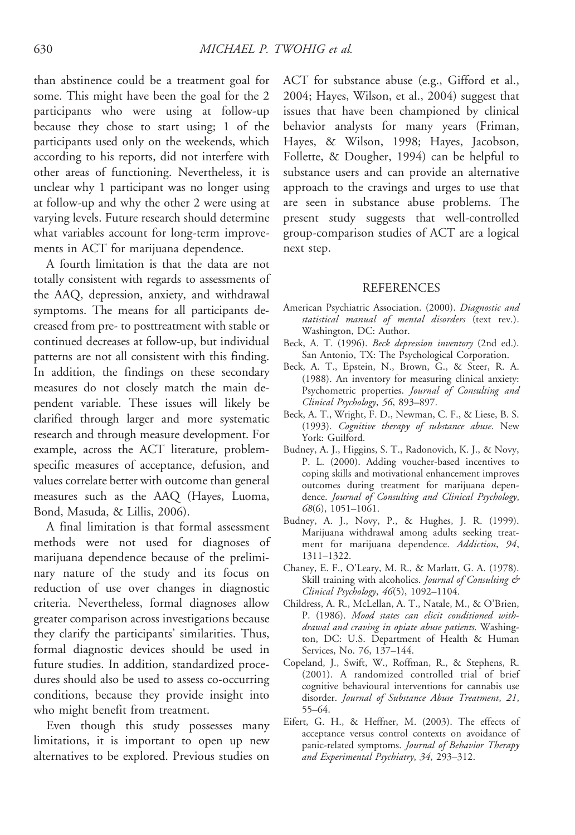than abstinence could be a treatment goal for some. This might have been the goal for the 2 participants who were using at follow-up because they chose to start using; 1 of the participants used only on the weekends, which according to his reports, did not interfere with other areas of functioning. Nevertheless, it is unclear why 1 participant was no longer using at follow-up and why the other 2 were using at varying levels. Future research should determine what variables account for long-term improvements in ACT for marijuana dependence.

A fourth limitation is that the data are not totally consistent with regards to assessments of the AAQ, depression, anxiety, and withdrawal symptoms. The means for all participants decreased from pre- to posttreatment with stable or continued decreases at follow-up, but individual patterns are not all consistent with this finding. In addition, the findings on these secondary measures do not closely match the main dependent variable. These issues will likely be clarified through larger and more systematic research and through measure development. For example, across the ACT literature, problemspecific measures of acceptance, defusion, and values correlate better with outcome than general measures such as the AAQ (Hayes, Luoma, Bond, Masuda, & Lillis, 2006).

A final limitation is that formal assessment methods were not used for diagnoses of marijuana dependence because of the preliminary nature of the study and its focus on reduction of use over changes in diagnostic criteria. Nevertheless, formal diagnoses allow greater comparison across investigations because they clarify the participants' similarities. Thus, formal diagnostic devices should be used in future studies. In addition, standardized procedures should also be used to assess co-occurring conditions, because they provide insight into who might benefit from treatment.

Even though this study possesses many limitations, it is important to open up new alternatives to be explored. Previous studies on ACT for substance abuse (e.g., Gifford et al., 2004; Hayes, Wilson, et al., 2004) suggest that issues that have been championed by clinical behavior analysts for many years (Friman, Hayes, & Wilson, 1998; Hayes, Jacobson, Follette, & Dougher, 1994) can be helpful to substance users and can provide an alternative approach to the cravings and urges to use that are seen in substance abuse problems. The present study suggests that well-controlled group-comparison studies of ACT are a logical next step.

#### REFERENCES

- American Psychiatric Association. (2000). Diagnostic and statistical manual of mental disorders (text rev.). Washington, DC: Author.
- Beck, A. T. (1996). Beck depression inventory (2nd ed.). San Antonio, TX: The Psychological Corporation.
- Beck, A. T., Epstein, N., Brown, G., & Steer, R. A. (1988). An inventory for measuring clinical anxiety: Psychometric properties. Journal of Consulting and Clinical Psychology, 56, 893–897.
- Beck, A. T., Wright, F. D., Newman, C. F., & Liese, B. S. (1993). Cognitive therapy of substance abuse. New York: Guilford.
- Budney, A. J., Higgins, S. T., Radonovich, K. J., & Novy, P. L. (2000). Adding voucher-based incentives to coping skills and motivational enhancement improves outcomes during treatment for marijuana dependence. Journal of Consulting and Clinical Psychology, 68(6), 1051–1061.
- Budney, A. J., Novy, P., & Hughes, J. R. (1999). Marijuana withdrawal among adults seeking treatment for marijuana dependence. Addiction, 94, 1311–1322.
- Chaney, E. F., O'Leary, M. R., & Marlatt, G. A. (1978). Skill training with alcoholics. Journal of Consulting & Clinical Psychology, 46(5), 1092–1104.
- Childress, A. R., McLellan, A. T., Natale, M., & O'Brien, P. (1986). Mood states can elicit conditioned withdrawal and craving in opiate abuse patients. Washington, DC: U.S. Department of Health & Human Services, No. 76, 137–144.
- Copeland, J., Swift, W., Roffman, R., & Stephens, R. (2001). A randomized controlled trial of brief cognitive behavioural interventions for cannabis use disorder. Journal of Substance Abuse Treatment, 21, 55–64.
- Eifert, G. H., & Heffner, M. (2003). The effects of acceptance versus control contexts on avoidance of panic-related symptoms. Journal of Behavior Therapy and Experimental Psychiatry, 34, 293–312.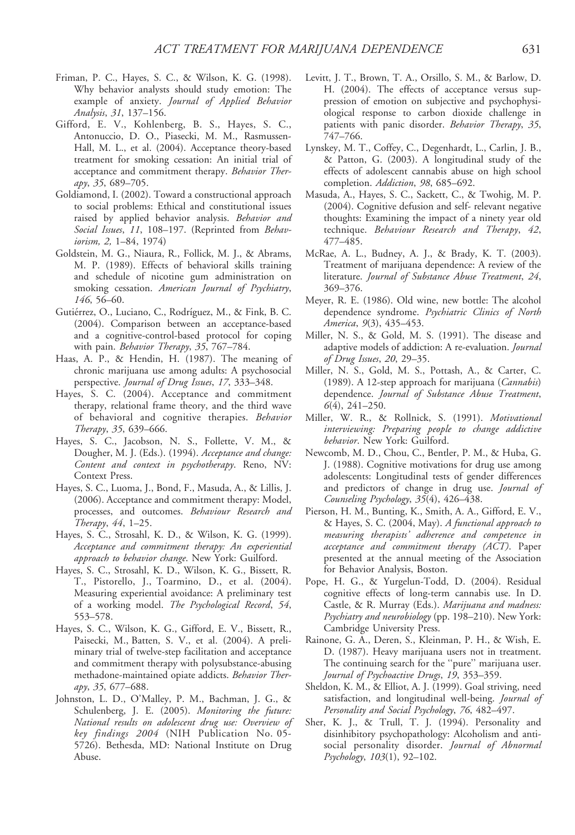- Friman, P. C., Hayes, S. C., & Wilson, K. G. (1998). Why behavior analysts should study emotion: The example of anxiety. Journal of Applied Behavior Analysis, 31, 137–156.
- Gifford, E. V., Kohlenberg, B. S., Hayes, S. C., Antonuccio, D. O., Piasecki, M. M., Rasmussen-Hall, M. L., et al. (2004). Acceptance theory-based treatment for smoking cessation: An initial trial of acceptance and commitment therapy. Behavior Therapy, 35, 689–705.
- Goldiamond, I. (2002). Toward a constructional approach to social problems: Ethical and constitutional issues raised by applied behavior analysis. Behavior and Social Issues, 11, 108-197. (Reprinted from Behaviorism, 2, 1–84, 1974)
- Goldstein, M. G., Niaura, R., Follick, M. J., & Abrams, M. P. (1989). Effects of behavioral skills training and schedule of nicotine gum administration on smoking cessation. American Journal of Psychiatry, 146, 56–60.
- Gutiérrez, O., Luciano, C., Rodríguez, M., & Fink, B. C. (2004). Comparison between an acceptance-based and a cognitive-control-based protocol for coping with pain. *Behavior Therapy*, 35, 767–784.
- Haas, A. P., & Hendin, H. (1987). The meaning of chronic marijuana use among adults: A psychosocial perspective. Journal of Drug Issues, 17, 333–348.
- Hayes, S. C. (2004). Acceptance and commitment therapy, relational frame theory, and the third wave of behavioral and cognitive therapies. Behavior Therapy, 35, 639–666.
- Hayes, S. C., Jacobson, N. S., Follette, V. M., & Dougher, M. J. (Eds.). (1994). Acceptance and change: Content and context in psychotherapy. Reno, NV: Context Press.
- Hayes, S. C., Luoma, J., Bond, F., Masuda, A., & Lillis, J. (2006). Acceptance and commitment therapy: Model, processes, and outcomes. Behaviour Research and Therapy, 44, 1–25.
- Hayes, S. C., Strosahl, K. D., & Wilson, K. G. (1999). Acceptance and commitment therapy: An experiential approach to behavior change. New York: Guilford.
- Hayes, S. C., Strosahl, K. D., Wilson, K. G., Bissett, R. T., Pistorello, J., Toarmino, D., et al. (2004). Measuring experiential avoidance: A preliminary test of a working model. The Psychological Record, 54, 553–578.
- Hayes, S. C., Wilson, K. G., Gifford, E. V., Bissett, R., Paisecki, M., Batten, S. V., et al. (2004). A preliminary trial of twelve-step facilitation and acceptance and commitment therapy with polysubstance-abusing methadone-maintained opiate addicts. Behavior Therapy, 35, 677–688.
- Johnston, L. D., O'Malley, P. M., Bachman, J. G., & Schulenberg, J. E. (2005). Monitoring the future: National results on adolescent drug use: Overview of key findings 2004 (NIH Publication No. 05- 5726). Bethesda, MD: National Institute on Drug Abuse.
- Levitt, J. T., Brown, T. A., Orsillo, S. M., & Barlow, D. H. (2004). The effects of acceptance versus suppression of emotion on subjective and psychophysiological response to carbon dioxide challenge in patients with panic disorder. Behavior Therapy, 35, 747–766.
- Lynskey, M. T., Coffey, C., Degenhardt, L., Carlin, J. B., & Patton, G. (2003). A longitudinal study of the effects of adolescent cannabis abuse on high school completion. Addiction, 98, 685–692.
- Masuda, A., Hayes, S. C., Sackett, C., & Twohig, M. P. (2004). Cognitive defusion and self- relevant negative thoughts: Examining the impact of a ninety year old technique. Behaviour Research and Therapy, 42, 477–485.
- McRae, A. L., Budney, A. J., & Brady, K. T. (2003). Treatment of marijuana dependence: A review of the literature. Journal of Substance Abuse Treatment, 24, 369–376.
- Meyer, R. E. (1986). Old wine, new bottle: The alcohol dependence syndrome. Psychiatric Clinics of North America, 9(3), 435–453.
- Miller, N. S., & Gold, M. S. (1991). The disease and adaptive models of addiction: A re-evaluation. *Journal* of Drug Issues, 20, 29–35.
- Miller, N. S., Gold, M. S., Pottash, A., & Carter, C. (1989). A 12-step approach for marijuana (Cannabis) dependence. Journal of Substance Abuse Treatment, 6(4), 241–250.
- Miller, W. R., & Rollnick, S. (1991). Motivational interviewing: Preparing people to change addictive behavior. New York: Guilford.
- Newcomb, M. D., Chou, C., Bentler, P. M., & Huba, G. J. (1988). Cognitive motivations for drug use among adolescents: Longitudinal tests of gender differences and predictors of change in drug use. Journal of Counseling Psychology, 35(4), 426–438.
- Pierson, H. M., Bunting, K., Smith, A. A., Gifford, E. V., & Hayes, S. C. (2004, May). A functional approach to measuring therapists' adherence and competence in acceptance and commitment therapy (ACT). Paper presented at the annual meeting of the Association for Behavior Analysis, Boston.
- Pope, H. G., & Yurgelun-Todd, D. (2004). Residual cognitive effects of long-term cannabis use. In D. Castle, & R. Murray (Eds.). Marijuana and madness: Psychiatry and neurobiology (pp. 198–210). New York: Cambridge University Press.
- Rainone, G. A., Deren, S., Kleinman, P. H., & Wish, E. D. (1987). Heavy marijuana users not in treatment. The continuing search for the ''pure'' marijuana user. Journal of Psychoactive Drugs, 19, 353–359.
- Sheldon, K. M., & Elliot, A. J. (1999). Goal striving, need satisfaction, and longitudinal well-being. *Journal of* Personality and Social Psychology, 76, 482–497.
- Sher, K. J., & Trull, T. J. (1994). Personality and disinhibitory psychopathology: Alcoholism and antisocial personality disorder. Journal of Abnormal Psychology, 103(1), 92–102.